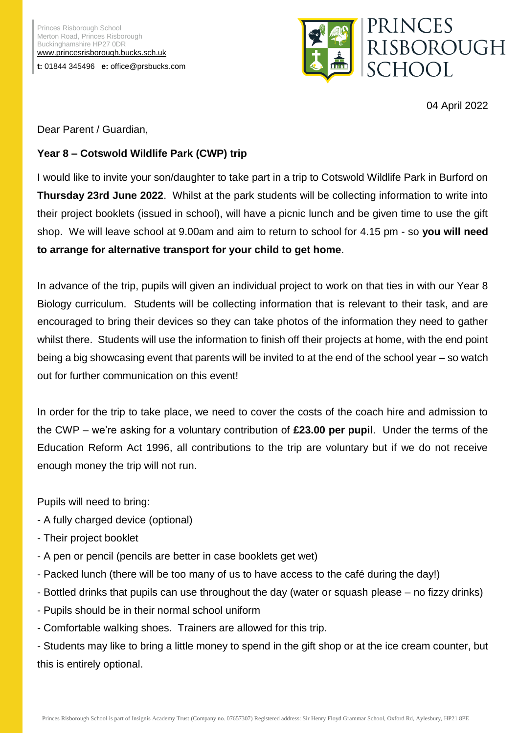Princes Risborough School Merton Road, Princes Risborough Buckinghamshire HP27 0DR [www.princesrisborough.bucks.sch.uk](http://www.princesrisborough.bucks.sch.uk/) **t:** 01844 345496 **e:** office@prsbucks.com



04 April 2022

Dear Parent / Guardian,

## **Year 8 – Cotswold Wildlife Park (CWP) trip**

I would like to invite your son/daughter to take part in a trip to Cotswold Wildlife Park in Burford on **Thursday 23rd June 2022**. Whilst at the park students will be collecting information to write into their project booklets (issued in school), will have a picnic lunch and be given time to use the gift shop. We will leave school at 9.00am and aim to return to school for 4.15 pm - so **you will need to arrange for alternative transport for your child to get home**.

In advance of the trip, pupils will given an individual project to work on that ties in with our Year 8 Biology curriculum. Students will be collecting information that is relevant to their task, and are encouraged to bring their devices so they can take photos of the information they need to gather whilst there. Students will use the information to finish off their projects at home, with the end point being a big showcasing event that parents will be invited to at the end of the school year – so watch out for further communication on this event!

In order for the trip to take place, we need to cover the costs of the coach hire and admission to the CWP – we're asking for a voluntary contribution of **£23.00 per pupil**. Under the terms of the Education Reform Act 1996, all contributions to the trip are voluntary but if we do not receive enough money the trip will not run.

Pupils will need to bring:

- A fully charged device (optional)
- Their project booklet
- A pen or pencil (pencils are better in case booklets get wet)
- Packed lunch (there will be too many of us to have access to the café during the day!)
- Bottled drinks that pupils can use throughout the day (water or squash please no fizzy drinks)
- Pupils should be in their normal school uniform
- Comfortable walking shoes. Trainers are allowed for this trip.

- Students may like to bring a little money to spend in the gift shop or at the ice cream counter, but this is entirely optional.